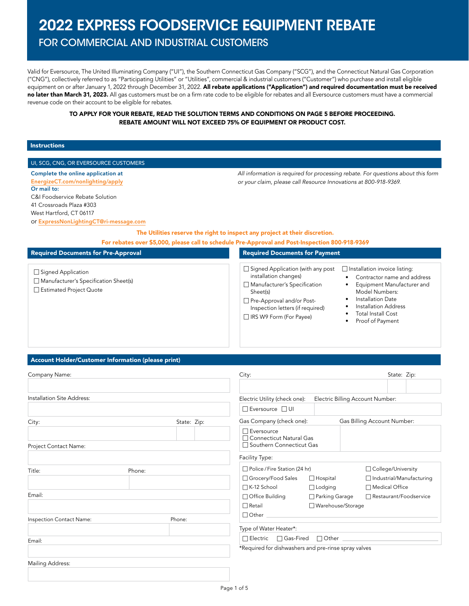# 2022 EXPRESS FOODSERVICE EQUIPMENT REBATE

### FOR COMMERCIAL AND INDUSTRIAL CUSTOMERS

Valid for Eversource, The United Illuminating Company ("UI"), the Southern Connecticut Gas Company ("SCG"), and the Connecticut Natural Gas Corporation ("CNG"), collectively referred to as "Participating Utilities" or "Utilities", commercial & industrial customers ("Customer") who purchase and install eligible equipment on or after January 1, 2022 through December 31, 2022. All rebate applications ("Application") and required documentation must be received no later than March 31, 2023. All gas customers must be on a firm rate code to be eligible for rebates and all Eversource customers must have a commercial revenue code on their account to be eligible for rebates.

#### TO APPLY FOR YOUR REBATE, READ THE SOLUTION TERMS AND CONDITIONS ON PAGE 5 BEFORE PROCEEDING. REBATE AMOUNT WILL NOT EXCEED 75% OF EQUIPMENT OR PRODUCT COST.

#### Instructions

#### UI, SCG, CNG, OR EVERSOURCE CUSTOMERS

Complete the online application at [EnergizeCT.com/nonlighting/apply](http://EnergizeCT.com/nonlighting/apply) Or mail to: C&I Foodservice Rebate Solution 41 Crossroads Plaza #303 West Hartford, CT 06117

or [ExpressNonLightingCT@ri-message.com](mailto:ExpressNonLightingCT%40ri-message.com?subject=)

The Utilities reserve the right to inspect any project at their discretion.

For rebates over \$5,000, please call to schedule Pre-Approval and Post-Inspection 800-918-9369

#### Required Documents for Pre-Approval

- □ Signed Application
- $\Box$  Manufacturer's Specification Sheet(s)
- □ Estimated Project Quote

 $\Box$  Signed Application (with any post  $\quad \Box$  Installation invoice listing: installation changes)  $\Box$  Manufacturer's Specification

Required Documents for Payment

Sheet(s) □ Pre-Approval and/or Post-Inspection letters (if required)

 $\Box$  IRS W9 Form (For Payee)

- Contractor name and address • Equipment Manufacturer and
- Model Numbers: Installation Date

*All information is required for processing rebate. For questions about this form* 

*or your claim, please call Resource Innovations at 800-918-9369.*

- Installation Address
- Total Install Cost
- Proof of Payment
- 

#### Account Holder/Customer Information (please print)

| Company Name:                      |             | City:                                                |                     | State: Zip:                      |
|------------------------------------|-------------|------------------------------------------------------|---------------------|----------------------------------|
| Installation Site Address:         |             | Electric Utility (check one):                        |                     | Electric Billing Account Number: |
|                                    |             | □ Eversource □ UI                                    |                     |                                  |
| City:                              | State: Zip: | Gas Company (check one):                             |                     | Gas Billing Account Number:      |
|                                    |             | $\Box$ Eversource<br>□ Connecticut Natural Gas       |                     |                                  |
| Project Contact Name:              |             | □ Southern Connecticut Gas                           |                     |                                  |
|                                    |             | Facility Type:                                       |                     |                                  |
| Title:<br>Phone:                   |             | □ Police / Fire Station (24 hr)                      |                     | □ College/University             |
|                                    |             | □ Grocery/Food Sales                                 | $\Box$ Hospital     | □ Industrial/Manufacturing       |
|                                    |             | □ K-12 School                                        | $\Box$ Lodging      | □ Medical Office                 |
| Email:                             |             | □ Office Building                                    | □ Parking Garage    | □ Restaurant/Foodservice         |
|                                    |             | $\Box$ Retail                                        | □ Warehouse/Storage |                                  |
| Phone:<br>Inspection Contact Name: |             | Other Communication                                  |                     |                                  |
|                                    |             | Type of Water Heater*:                               |                     |                                  |
| Email:                             |             | □ Electric □ Gas-Fired □ Other <u>__________</u>     |                     |                                  |
|                                    |             | *Required for dishwashers and pre-rinse spray valves |                     |                                  |
| Mailing Address:                   |             |                                                      |                     |                                  |
|                                    |             |                                                      |                     |                                  |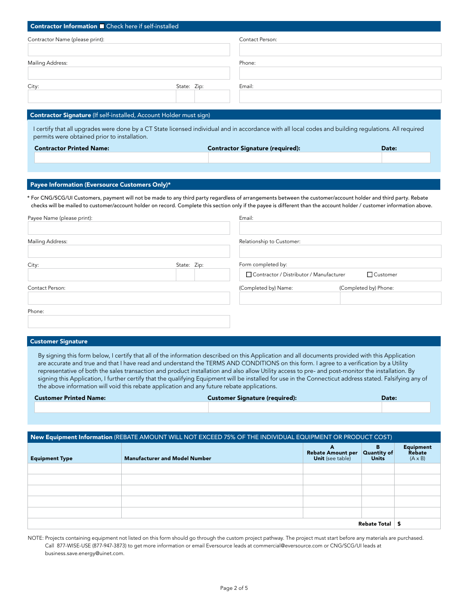| Contractor Information <b>D</b> Check here if self-installed                                                                                                                                                                                                                                                                             |             |                                           |                       |  |
|------------------------------------------------------------------------------------------------------------------------------------------------------------------------------------------------------------------------------------------------------------------------------------------------------------------------------------------|-------------|-------------------------------------------|-----------------------|--|
| Contractor Name (please print):                                                                                                                                                                                                                                                                                                          |             | Contact Person:                           |                       |  |
| Mailing Address:                                                                                                                                                                                                                                                                                                                         |             | Phone:                                    |                       |  |
|                                                                                                                                                                                                                                                                                                                                          |             |                                           |                       |  |
| City:                                                                                                                                                                                                                                                                                                                                    | State: Zip: | Email:                                    |                       |  |
|                                                                                                                                                                                                                                                                                                                                          |             |                                           |                       |  |
| Contractor Signature (If self-installed, Account Holder must sign)                                                                                                                                                                                                                                                                       |             |                                           |                       |  |
| I certify that all upgrades were done by a CT State licensed individual and in accordance with all local codes and building regulations. All required<br>permits were obtained prior to installation.                                                                                                                                    |             |                                           |                       |  |
| <b>Contractor Printed Name:</b>                                                                                                                                                                                                                                                                                                          |             | <b>Contractor Signature (required):</b>   | Date:                 |  |
|                                                                                                                                                                                                                                                                                                                                          |             |                                           |                       |  |
|                                                                                                                                                                                                                                                                                                                                          |             |                                           |                       |  |
| Payee Information (Eversource Customers Only)*                                                                                                                                                                                                                                                                                           |             |                                           |                       |  |
| * For CNG/SCG/UI Customers, payment will not be made to any third party regardless of arrangements between the customer/account holder and third party. Rebate<br>checks will be mailed to customer/account holder on record. Complete this section only if the payee is different than the account holder / customer information above. |             |                                           |                       |  |
| Payee Name (please print):                                                                                                                                                                                                                                                                                                               |             | Email:                                    |                       |  |
|                                                                                                                                                                                                                                                                                                                                          |             |                                           |                       |  |
| Mailing Address:                                                                                                                                                                                                                                                                                                                         |             | Relationship to Customer:                 |                       |  |
| City:                                                                                                                                                                                                                                                                                                                                    | State: Zip: | Form completed by:                        |                       |  |
|                                                                                                                                                                                                                                                                                                                                          |             | F Contractor / Distributor / Manufacturer | <b>T</b> Customer     |  |
| Contact Person:                                                                                                                                                                                                                                                                                                                          |             | (Completed by) Name:                      | (Completed by) Phone: |  |
|                                                                                                                                                                                                                                                                                                                                          |             |                                           |                       |  |
| Phone:                                                                                                                                                                                                                                                                                                                                   |             |                                           |                       |  |

#### Customer Signature

By signing this form below, I certify that all of the information described on this Application and all documents provided with this Application are accurate and true and that I have read and understand the TERMS AND CONDITIONS on this form. I agree to a verification by a Utility representative of both the sales transaction and product installation and also allow Utility access to pre- and post-monitor the installation. By signing this Application, I further certify that the qualifying Equipment will be installed for use in the Connecticut address stated. Falsifying any of the above information will void this rebate application and any future rebate applications.

| <b>Customer Printed Name:</b> | <b>Customer Signature (required):</b> | Date: |
|-------------------------------|---------------------------------------|-------|
|                               |                                       |       |

| New Equipment Information (REBATE AMOUNT WILL NOT EXCEED 75% OF THE INDIVIDUAL EQUIPMENT OR PRODUCT COST) |                                      |                                                               |                   |                                              |  |
|-----------------------------------------------------------------------------------------------------------|--------------------------------------|---------------------------------------------------------------|-------------------|----------------------------------------------|--|
| <b>Equipment Type</b>                                                                                     | <b>Manufacturer and Model Number</b> | A<br>Rebate Amount per Quantity of<br><b>Unit</b> (see table) | в<br><b>Units</b> | <b>Equipment</b><br>Rebate<br>$(A \times B)$ |  |
|                                                                                                           |                                      |                                                               |                   |                                              |  |
|                                                                                                           |                                      |                                                               |                   |                                              |  |
|                                                                                                           |                                      |                                                               |                   |                                              |  |
|                                                                                                           |                                      |                                                               |                   |                                              |  |
|                                                                                                           |                                      |                                                               |                   |                                              |  |
| <b>Rebate Total</b>                                                                                       |                                      |                                                               |                   |                                              |  |

NOTE: Projects containing equipment not listed on this form should go through the custom project pathway. The project must start before any materials are purchased. Call 877-WISE-USE (877-947-3873) to get more information or email Eversource leads at commercial@eversource.com or CNG/SCG/UI leads at business.save.energy@uinet.com.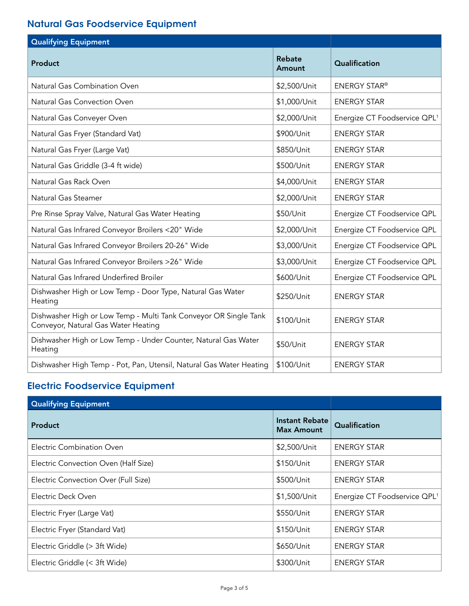## Natural Gas Foodservice Equipment

| Qualifying Equipment                                                                                    |                         |                                          |
|---------------------------------------------------------------------------------------------------------|-------------------------|------------------------------------------|
| Product                                                                                                 | <b>Rebate</b><br>Amount | Qualification                            |
| Natural Gas Combination Oven                                                                            | \$2,500/Unit            | <b>ENERGY STAR®</b>                      |
| Natural Gas Convection Oven                                                                             | \$1,000/Unit            | <b>ENERGY STAR</b>                       |
| Natural Gas Conveyer Oven                                                                               | \$2,000/Unit            | Energize CT Foodservice QPL <sup>1</sup> |
| Natural Gas Fryer (Standard Vat)                                                                        | \$900/Unit              | <b>ENERGY STAR</b>                       |
| Natural Gas Fryer (Large Vat)                                                                           | \$850/Unit              | <b>ENERGY STAR</b>                       |
| Natural Gas Griddle (3-4 ft wide)                                                                       | \$500/Unit              | <b>ENERGY STAR</b>                       |
| Natural Gas Rack Oven                                                                                   | \$4,000/Unit            | <b>ENERGY STAR</b>                       |
| Natural Gas Steamer                                                                                     | \$2,000/Unit            | <b>ENERGY STAR</b>                       |
| Pre Rinse Spray Valve, Natural Gas Water Heating                                                        | \$50/Unit               | Energize CT Foodservice QPL              |
| Natural Gas Infrared Conveyor Broilers <20" Wide                                                        | \$2,000/Unit            | Energize CT Foodservice QPL              |
| Natural Gas Infrared Conveyor Broilers 20-26" Wide                                                      | \$3,000/Unit            | Energize CT Foodservice QPL              |
| Natural Gas Infrared Conveyor Broilers >26" Wide                                                        | \$3,000/Unit            | Energize CT Foodservice QPL              |
| Natural Gas Infrared Underfired Broiler                                                                 | \$600/Unit              | Energize CT Foodservice QPL              |
| Dishwasher High or Low Temp - Door Type, Natural Gas Water<br>Heating                                   | \$250/Unit              | <b>ENERGY STAR</b>                       |
| Dishwasher High or Low Temp - Multi Tank Conveyor OR Single Tank<br>Conveyor, Natural Gas Water Heating | \$100/Unit              | <b>ENERGY STAR</b>                       |
| Dishwasher High or Low Temp - Under Counter, Natural Gas Water<br>Heating                               | \$50/Unit               | <b>ENERGY STAR</b>                       |
| Dishwasher High Temp - Pot, Pan, Utensil, Natural Gas Water Heating                                     | \$100/Unit              | <b>ENERGY STAR</b>                       |

## Electric Foodservice Equipment

| <b>Qualifying Equipment</b>          |                                     |                                          |
|--------------------------------------|-------------------------------------|------------------------------------------|
| <b>Product</b>                       | Instant Rebate<br><b>Max Amount</b> | Qualification                            |
| Electric Combination Oven            | \$2,500/Unit                        | <b>ENERGY STAR</b>                       |
| Electric Convection Oven (Half Size) | \$150/Unit                          | <b>ENERGY STAR</b>                       |
| Electric Convection Over (Full Size) | \$500/Unit                          | <b>ENERGY STAR</b>                       |
| Electric Deck Oven                   | \$1,500/Unit                        | Energize CT Foodservice QPL <sup>1</sup> |
| Electric Fryer (Large Vat)           | \$550/Unit                          | <b>ENERGY STAR</b>                       |
| Electric Fryer (Standard Vat)        | \$150/Unit                          | <b>ENERGY STAR</b>                       |
| Electric Griddle (> 3ft Wide)        | \$650/Unit                          | <b>ENERGY STAR</b>                       |
| Electric Griddle (< 3ft Wide)        | \$300/Unit                          | <b>ENERGY STAR</b>                       |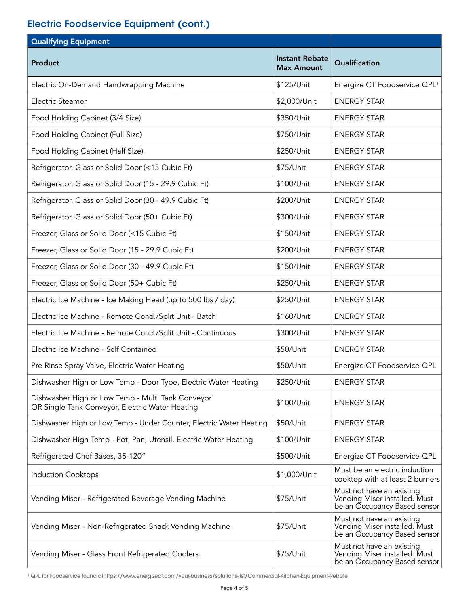### Electric Foodservice Equipment (cont.)

| <b>Qualifying Equipment</b>                                                                          |                                            |                                                                                            |
|------------------------------------------------------------------------------------------------------|--------------------------------------------|--------------------------------------------------------------------------------------------|
| Product                                                                                              | <b>Instant Rebate</b><br><b>Max Amount</b> | Qualification                                                                              |
| Electric On-Demand Handwrapping Machine                                                              | \$125/Unit                                 | Energize CT Foodservice QPL <sup>1</sup>                                                   |
| Electric Steamer                                                                                     | \$2,000/Unit                               | <b>ENERGY STAR</b>                                                                         |
| Food Holding Cabinet (3/4 Size)                                                                      | \$350/Unit                                 | <b>ENERGY STAR</b>                                                                         |
| Food Holding Cabinet (Full Size)                                                                     | \$750/Unit                                 | <b>ENERGY STAR</b>                                                                         |
| Food Holding Cabinet (Half Size)                                                                     | \$250/Unit                                 | <b>ENERGY STAR</b>                                                                         |
| Refrigerator, Glass or Solid Door (<15 Cubic Ft)                                                     | \$75/Unit                                  | <b>ENERGY STAR</b>                                                                         |
| Refrigerator, Glass or Solid Door (15 - 29.9 Cubic Ft)                                               | \$100/Unit                                 | <b>ENERGY STAR</b>                                                                         |
| Refrigerator, Glass or Solid Door (30 - 49.9 Cubic Ft)                                               | \$200/Unit                                 | <b>ENERGY STAR</b>                                                                         |
| Refrigerator, Glass or Solid Door (50+ Cubic Ft)                                                     | \$300/Unit                                 | <b>ENERGY STAR</b>                                                                         |
| Freezer, Glass or Solid Door (<15 Cubic Ft)                                                          | \$150/Unit                                 | <b>ENERGY STAR</b>                                                                         |
| Freezer, Glass or Solid Door (15 - 29.9 Cubic Ft)                                                    | \$200/Unit                                 | <b>ENERGY STAR</b>                                                                         |
| Freezer, Glass or Solid Door (30 - 49.9 Cubic Ft)                                                    | \$150/Unit                                 | <b>ENERGY STAR</b>                                                                         |
| Freezer, Glass or Solid Door (50+ Cubic Ft)                                                          | \$250/Unit                                 | <b>ENERGY STAR</b>                                                                         |
| Electric Ice Machine - Ice Making Head (up to 500 lbs / day)                                         | \$250/Unit                                 | <b>ENERGY STAR</b>                                                                         |
| Electric Ice Machine - Remote Cond./Split Unit - Batch                                               | \$160/Unit                                 | <b>ENERGY STAR</b>                                                                         |
| Electric Ice Machine - Remote Cond./Split Unit - Continuous                                          | \$300/Unit                                 | <b>ENERGY STAR</b>                                                                         |
| Electric Ice Machine - Self Contained                                                                | \$50/Unit                                  | <b>ENERGY STAR</b>                                                                         |
| Pre Rinse Spray Valve, Electric Water Heating                                                        | \$50/Unit                                  | Energize CT Foodservice QPL                                                                |
| Dishwasher High or Low Temp - Door Type, Electric Water Heating                                      | \$250/Unit                                 | <b>ENERGY STAR</b>                                                                         |
| Dishwasher High or Low Temp - Multi Tank Conveyor<br>OR Single Tank Conveyor, Electric Water Heating | \$100/Unit                                 | <b>ENERGY STAR</b>                                                                         |
| Dishwasher High or Low Temp - Under Counter, Electric Water Heating                                  | \$50/Unit                                  | <b>ENERGY STAR</b>                                                                         |
| Dishwasher High Temp - Pot, Pan, Utensil, Electric Water Heating                                     | \$100/Unit                                 | <b>ENERGY STAR</b>                                                                         |
| Refrigerated Chef Bases, 35-120"                                                                     | \$500/Unit                                 | Energize CT Foodservice QPL                                                                |
| Induction Cooktops                                                                                   | \$1,000/Unit                               | Must be an electric induction<br>cooktop with at least 2 burners                           |
| Vending Miser - Refrigerated Beverage Vending Machine                                                | \$75/Unit                                  | Must not have an existing<br>Vending Miser installed. Must<br>be an Occupancy Based sensor |
| Vending Miser - Non-Refrigerated Snack Vending Machine                                               | \$75/Unit                                  | Must not have an existing<br>Vending Miser installed. Must<br>be an Occupancy Based sensor |
| Vending Miser - Glass Front Refrigerated Coolers                                                     | \$75/Unit                                  | Must not have an existing<br>Vending Miser installed. Must<br>be an Occupancy Based sensor |

1 QPL for Foodservice found athttps://www.energizect.com/your-business/solutions-list/Commercial-Kitchen-Equipment-Rebate